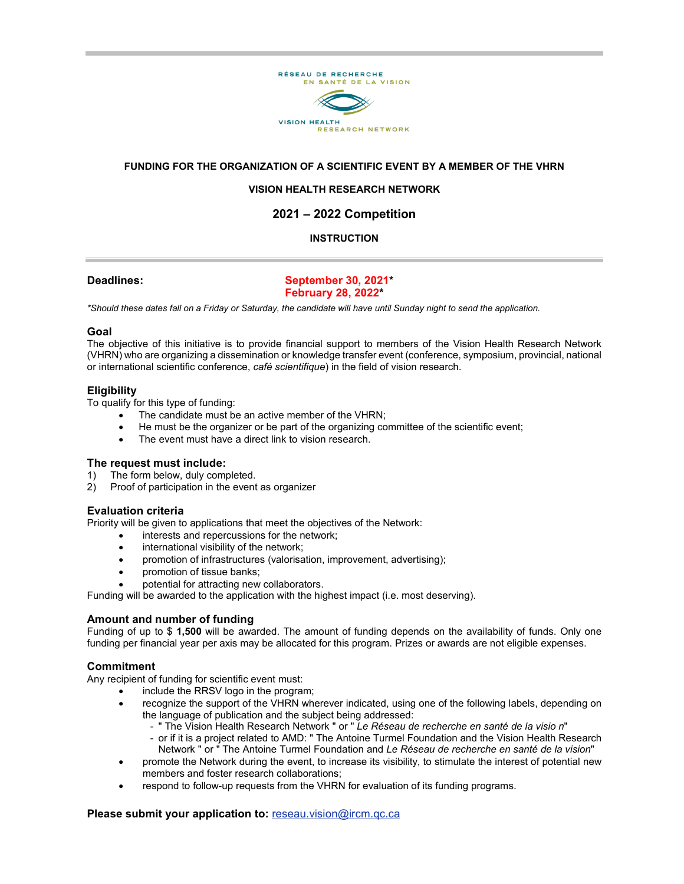

# **FUNDING FOR THE ORGANIZATION OF A SCIENTIFIC EVENT BY A MEMBER OF THE VHRN**

# **VISION HEALTH RESEARCH NETWORK**

# **2021 – 2022 Competition**

# **INSTRUCTION**

### **Deadlines: September 30, 2021\* February 28, 2022\***

*\*Should these dates fall on a Friday or Saturday, the candidate will have until Sunday night to send the application.*

#### **Goal**

The objective of this initiative is to provide financial support to members of the Vision Health Research Network (VHRN) who are organizing a dissemination or knowledge transfer event (conference, symposium, provincial, national or international scientific conference, *café scientifique*) in the field of vision research.

#### **Eligibility**

To qualify for this type of funding:

- The candidate must be an active member of the VHRN;
- He must be the organizer or be part of the organizing committee of the scientific event;
- The event must have a direct link to vision research.

#### **The request must include:**

1) The form below, duly completed.<br>2) Proof of participation in the event Proof of participation in the event as organizer

#### **Evaluation criteria**

Priority will be given to applications that meet the objectives of the Network:

- interests and repercussions for the network;
- international visibility of the network;
- promotion of infrastructures (valorisation, improvement, advertising);
- promotion of tissue banks;
- potential for attracting new collaborators.

Funding will be awarded to the application with the highest impact (i.e. most deserving).

#### **Amount and number of funding**

Funding of up to \$ **1,500** will be awarded. The amount of funding depends on the availability of funds. Only one funding per financial year per axis may be allocated for this program. Prizes or awards are not eligible expenses.

#### **Commitment**

Any recipient of funding for scientific event must:

- include the RRSV logo in the program;
- recognize the support of the VHRN wherever indicated, using one of the following labels, depending on the language of publication and the subject being addressed:
	- " The Vision Health Research Network " or " *Le Réseau de recherche en santé de la visio n*"
	- or if it is a project related to AMD: " The Antoine Turmel Foundation and the Vision Health Research Network " or " The Antoine Turmel Foundation and *Le Réseau de recherche en santé de la vision*"
- promote the Network during the event, to increase its visibility, to stimulate the interest of potential new members and foster research collaborations;
- respond to follow-up requests from the VHRN for evaluation of its funding programs.

#### **Please submit your application to:** [reseau.vision@ircm.qc.ca](mailto:reseau.vision.hmr@ssss.gouv.qc.ca)